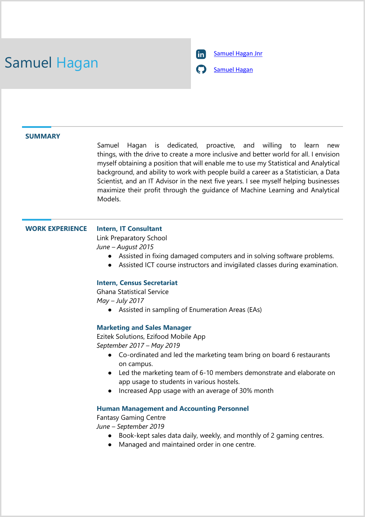# [Samuel Hagan](https://github.com/hagan420) Samuel Hagan



### **SUMMARY**

Samuel Hagan is dedicated, proactive, and willing to learn new things, with the drive to create a more inclusive and better world for all. I envision myself obtaining a position that will enable me to use my Statistical and Analytical background, and ability to work with people build a career as a Statistician, a Data Scientist, and an IT Advisor in the next five years. I see myself helping businesses maximize their profit through the guidance of Machine Learning and Analytical Models.

#### **WORK EXPERIENCE Intern, IT Consultant**

Link Preparatory School *June – August 2015*

- Assisted in fixing damaged computers and in solving software problems.
- Assisted ICT course instructors and invigilated classes during examination.

#### **Intern, Census Secretariat**

Ghana Statistical Service *May – July 2017*

● Assisted in sampling of Enumeration Areas (EAs)

#### **Marketing and Sales Manager**

Ezitek Solutions, Ezifood Mobile App *September 2017 – May 2019*

- Co-ordinated and led the marketing team bring on board 6 restaurants on campus.
- Led the marketing team of 6-10 members demonstrate and elaborate on app usage to students in various hostels.
- Increased App usage with an average of 30% month

#### **Human Management and Accounting Personnel**

Fantasy Gaming Centre

*June – September 2019*

- Book-kept sales data daily, weekly, and monthly of 2 gaming centres.
- Managed and maintained order in one centre.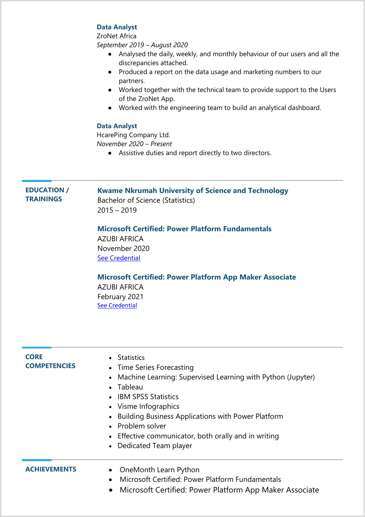## **Data Analyst**

ZroNet Africa

*September 2019 – August 2020*

- Analysed the daily, weekly, and monthly behaviour of our users and all the discrepancies attached.
- Produced a report on the data usage and marketing numbers to our partners.
- Worked together with the technical team to provide support to the Users of the ZroNet App.
- Worked with the engineering team to build an analytical dashboard.

## **Data Analyst**

HcarePing Company Ltd. *November 2020 – Present*

● Assistive duties and report directly to two directors.

## **EDUCATION / TRAININGS**

# **Kwame Nkrumah University of Science and Technology**

Bachelor of Science (Statistics) 2015 – 2019

# **Microsoft Certified: Power Platform Fundamentals**

AZUBI AFRICA November 2020 [See Credential](https://www.youracclaim.com/badges/db78fe13-6cd6-40c8-984d-de2528d6d9ba/public_url)

**Microsoft Certified: Power Platform App Maker Associate**

AZUBI AFRICA February 2021 [See Credential](https://www.youracclaim.com/badges/bcb2f5c4-9c9d-4f6d-ae61-46f7481fac19/public_url)

| <b>CORE</b><br><b>COMPETENCIES</b> | <b>Statistics</b><br>• Time Series Forecasting<br>• Machine Learning: Supervised Learning with Python (Jupyter)<br>• Tableau<br>• IBM SPSS Statistics<br>• Visme Infographics<br><b>Building Business Applications with Power Platform</b><br>• Problem solver<br>• Effective communicator, both orally and in writing<br>• Dedicated Team player |
|------------------------------------|---------------------------------------------------------------------------------------------------------------------------------------------------------------------------------------------------------------------------------------------------------------------------------------------------------------------------------------------------|
| <b>ACHIEVEMENTS</b>                | OneMonth Learn Python<br>Microsoft Certified: Power Platform Fundamentals                                                                                                                                                                                                                                                                         |

• Microsoft Certified: Power Platform App Maker Associate